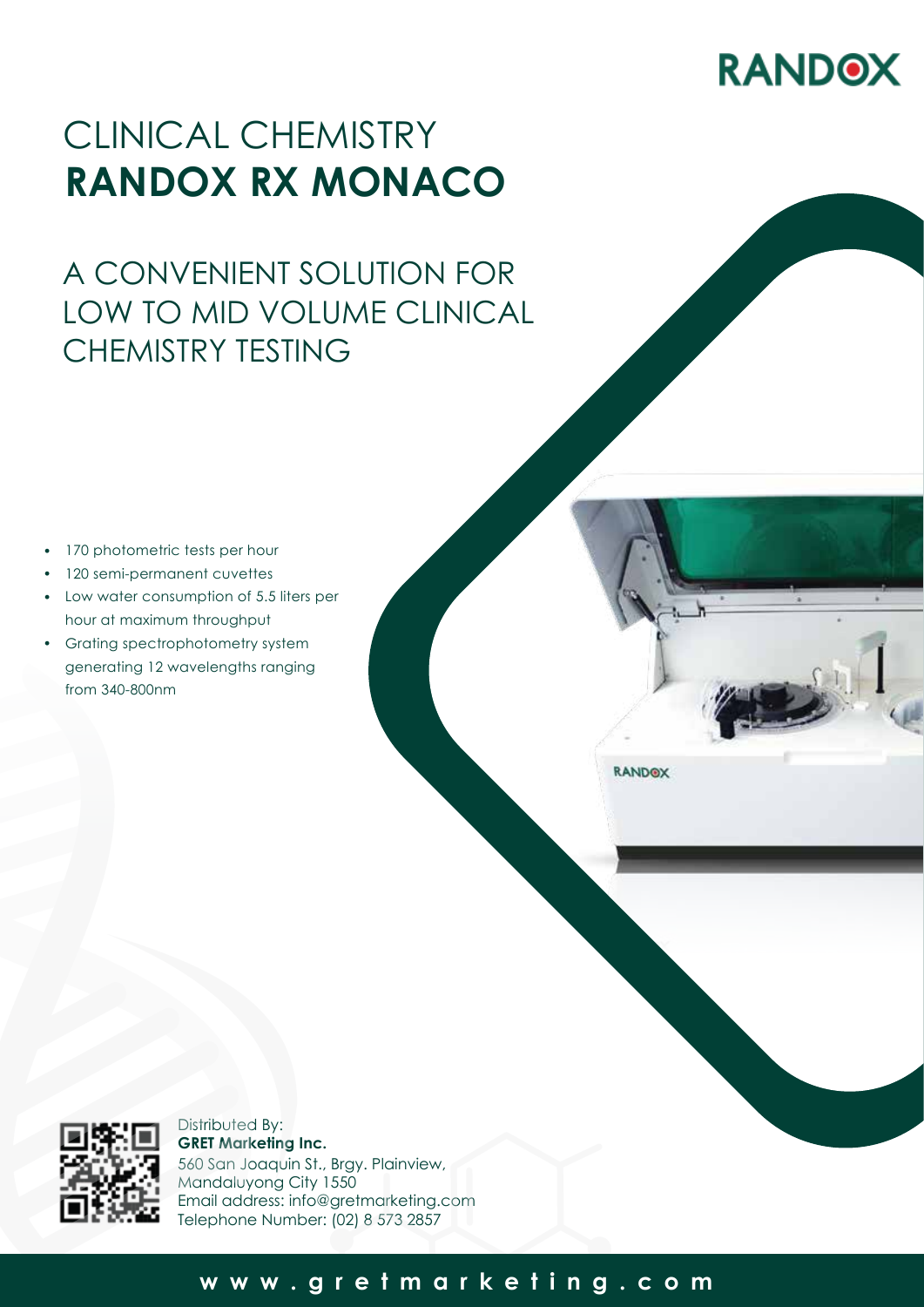# **RANDOX**

## CLINICAL CHEMISTRY **RANDOX RX MONACO**

## A CONVENIENT SOLUTION FOR LOW TO MID VOLUME CLINICAL CHEMISTRY TESTING

- 170 photometric tests per hour •
- 120 semi-permanent cuvettes •
- Low water consumption of 5.5 liters per hour at maximum throughput
- Grating spectrophotometry system generating 12 wavelengths ranging from 340-800nm

**RANDOX** 



Distributed By: **GRET Marketing Inc.** 560 San Joaquin St., Brgy. Plainview, Mandaluyong City 1550 Email address: info@gretmarketing.com Telephone Number: (02) 8 573 2857

### **www.gretmarketing.com**